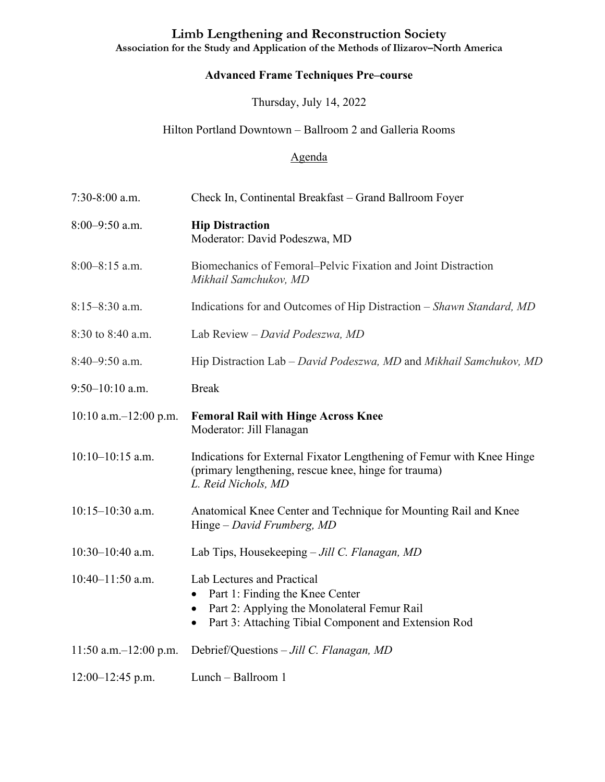## **Limb Lengthening and Reconstruction Society**

**Association for the Study and Application of the Methods of Ilizarov–North America**

## **Advanced Frame Techniques Pre–course**

Thursday, July 14, 2022

## Hilton Portland Downtown – Ballroom 2 and Galleria Rooms

## Agenda

| $7:30-8:00$ a.m.           | Check In, Continental Breakfast – Grand Ballroom Foyer                                                                                                                                         |
|----------------------------|------------------------------------------------------------------------------------------------------------------------------------------------------------------------------------------------|
| $8:00-9:50$ a.m.           | <b>Hip Distraction</b><br>Moderator: David Podeszwa, MD                                                                                                                                        |
| $8:00-8:15$ a.m.           | Biomechanics of Femoral–Pelvic Fixation and Joint Distraction<br>Mikhail Samchukov, MD                                                                                                         |
| $8:15-8:30$ a.m.           | Indications for and Outcomes of Hip Distraction – Shawn Standard, MD                                                                                                                           |
| 8:30 to 8:40 a.m.          | Lab Review - David Podeszwa, MD                                                                                                                                                                |
| $8:40-9:50$ a.m.           | Hip Distraction Lab – David Podeszwa, MD and Mikhail Samchukov, MD                                                                                                                             |
| $9:50-10:10$ a.m.          | <b>Break</b>                                                                                                                                                                                   |
| $10:10$ a.m. $-12:00$ p.m. | <b>Femoral Rail with Hinge Across Knee</b><br>Moderator: Jill Flanagan                                                                                                                         |
| $10:10-10:15$ a.m.         | Indications for External Fixator Lengthening of Femur with Knee Hinge<br>(primary lengthening, rescue knee, hinge for trauma)<br>L. Reid Nichols, MD                                           |
| $10:15 - 10:30$ a.m.       | Anatomical Knee Center and Technique for Mounting Rail and Knee<br>Hinge – David Frumberg, MD                                                                                                  |
| $10:30 - 10:40$ a.m.       | Lab Tips, Housekeeping - Jill C. Flanagan, MD                                                                                                                                                  |
| $10:40 - 11:50$ a.m.       | Lab Lectures and Practical<br>Part 1: Finding the Knee Center<br>Part 2: Applying the Monolateral Femur Rail<br>$\bullet$<br>Part 3: Attaching Tibial Component and Extension Rod<br>$\bullet$ |
| 11:50 a.m. $-12:00$ p.m.   | Debrief/Questions - Jill C. Flanagan, MD                                                                                                                                                       |
| $12:00-12:45$ p.m.         | Lunch - Ballroom 1                                                                                                                                                                             |